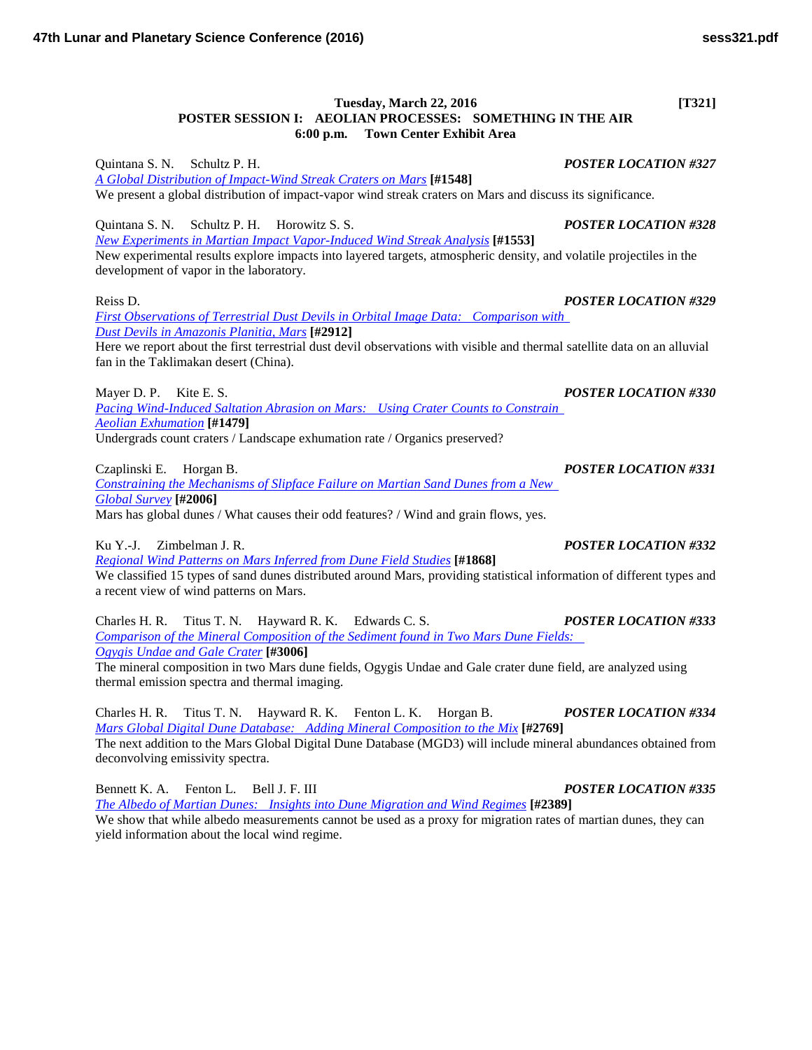## **Tuesday, March 22, 2016 [T321] POSTER SESSION I: AEOLIAN PROCESSES: SOMETHING IN THE AIR 6:00 p.m. Town Center Exhibit Area**

Quintana S. N. Schultz P. H. *POSTER LOCATION #327 [A Global Distribution of Impact-Wind Streak Craters on](http://www.hou.usra.edu/meetings/lpsc2016/pdf/1548.pdf) Mars* **[#1548]** We present a global distribution of impact-vapor wind streak craters on Mars and discuss its significance.

Quintana S. N. Schultz P. H. Horowitz S. S. *POSTER LOCATION #328*

*[New Experiments in Martian Impact Vapor-Induced Wind Streak](http://www.hou.usra.edu/meetings/lpsc2016/pdf/1553.pdf) Analysis* **[#1553]** New experimental results explore impacts into layered targets, atmospheric density, and volatile projectiles in the development of vapor in the laboratory.

Reiss D. *POSTER LOCATION #329*

*[First Observations of Terrestrial Dust Devils in Orbital Image Data: Comparison with](http://www.hou.usra.edu/meetings/lpsc2016/pdf/2912.pdf)  [Dust Devils in Amazonis Planitia,](http://www.hou.usra.edu/meetings/lpsc2016/pdf/2912.pdf) Mars* **[#2912]**

Here we report about the first terrestrial dust devil observations with visible and thermal satellite data on an alluvial fan in the Taklimakan desert (China).

Mayer D. P. Kite E. S. *POSTER LOCATION #330 [Pacing Wind-Induced Saltation Abrasion on Mars: Using Crater Counts to Constrain](http://www.hou.usra.edu/meetings/lpsc2016/pdf/1479.pdf)  Aeolian [Exhumation](http://www.hou.usra.edu/meetings/lpsc2016/pdf/1479.pdf)* **[#1479]** Undergrads count craters / Landscape exhumation rate / Organics preserved?

*[Constraining the Mechanisms of Slipface Failure on Martian Sand Dunes from a New](http://www.hou.usra.edu/meetings/lpsc2016/pdf/2006.pdf)  [Global](http://www.hou.usra.edu/meetings/lpsc2016/pdf/2006.pdf) Survey* **[#2006]**

Mars has global dunes / What causes their odd features? / Wind and grain flows, yes.

Ku Y.-J. Zimbelman J. R. *POSTER LOCATION #332*

*[Regional Wind Patterns on Mars Inferred from Dune Field](http://www.hou.usra.edu/meetings/lpsc2016/pdf/1868.pdf) Studies* **[#1868]** We classified 15 types of sand dunes distributed around Mars, providing statistical information of different types and

a recent view of wind patterns on Mars.

Charles H. R. Titus T. N. Hayward R. K. Edwards C. S. *POSTER LOCATION #333 [Comparison of the Mineral Composition of the Sediment found](http://www.hou.usra.edu/meetings/lpsc2016/pdf/3006.pdf) in Two Mars Dune Fields: [Ogygis Undae and Gale](http://www.hou.usra.edu/meetings/lpsc2016/pdf/3006.pdf) Crater* **[#3006]**

The mineral composition in two Mars dune fields, Ogygis Undae and Gale crater dune field, are analyzed using thermal emission spectra and thermal imaging.

Charles H. R. Titus T. N. Hayward R. K. Fenton L. K. Horgan B. *POSTER LOCATION #334 [Mars Global Digital Dune Database: Adding Mineral Composition to the](http://www.hou.usra.edu/meetings/lpsc2016/pdf/2769.pdf) Mix* **[#2769]** The next addition to the Mars Global Digital Dune Database (MGD3) will include mineral abundances obtained from deconvolving emissivity spectra.

Bennett K. A. Fenton L. Bell J. F. III *POSTER LOCATION #335 [The Albedo of Martian Dunes: Insights into Dune Migration and Wind](http://www.hou.usra.edu/meetings/lpsc2016/pdf/2389.pdf) Regimes* **[#2389]** We show that while albedo measurements cannot be used as a proxy for migration rates of martian dunes, they can yield information about the local wind regime.

Czaplinski E. Horgan B. *POSTER LOCATION #331*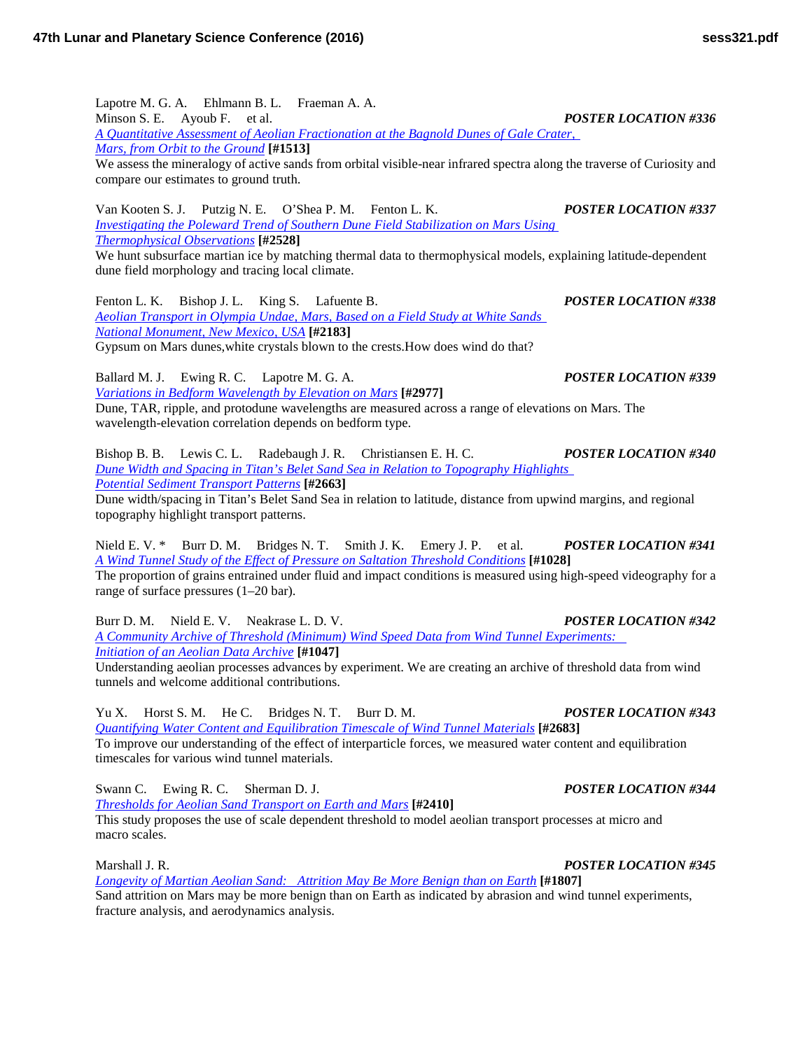Lapotre M. G. A. Ehlmann B. L. Fraeman A. A. Minson S. E. Ayoub F. et al. *POSTER LOCATION #336 [A Quantitative Assessment of Aeolian Fractionation at the Bagnold Dunes of Gale Crater,](http://www.hou.usra.edu/meetings/lpsc2016/pdf/1513.pdf)  [Mars, from Orbit to the](http://www.hou.usra.edu/meetings/lpsc2016/pdf/1513.pdf) Ground* **[#1513]** We assess the mineralogy of active sands from orbital visible-near infrared spectra along the traverse of Curiosity and compare our estimates to ground truth.

Van Kooten S. J. Putzig N. E. O'Shea P. M. Fenton L. K. *POSTER LOCATION #337 [Investigating the Poleward Trend of Southern Dune Field Stabilization on Mars Using](http://www.hou.usra.edu/meetings/lpsc2016/pdf/2528.pdf)  [Thermophysical](http://www.hou.usra.edu/meetings/lpsc2016/pdf/2528.pdf) Observations* **[#2528]** We hunt subsurface martian ice by matching thermal data to thermophysical models, explaining latitude-dependent dune field morphology and tracing local climate.

Fenton L. K. Bishop J. L. King S. Lafuente B. *POSTER LOCATION #338 [Aeolian Transport in Olympia Undae, Mars, Based on a Field Study at White Sands](http://www.hou.usra.edu/meetings/lpsc2016/pdf/2183.pdf)  [National Monument, New](http://www.hou.usra.edu/meetings/lpsc2016/pdf/2183.pdf) Mexico, USA* **[#2183]** Gypsum on Mars dunes,white crystals blown to the crests.How does wind do that?

Ballard M. J. Ewing R. C. Lapotre M. G. A. *POSTER LOCATION #339 [Variations in Bedform Wavelength by Elevation on](http://www.hou.usra.edu/meetings/lpsc2016/pdf/2977.pdf) Mars* **[#2977]** Dune, TAR, ripple, and protodune wavelengths are measured across a range of elevations on Mars. The wavelength-elevation correlation depends on bedform type.

Bishop B. B. Lewis C. L. Radebaugh J. R. Christiansen E. H. C. *POSTER LOCATION #340 [Dune Width and Spacing in Titan's Belet Sand Sea in Relation to Topography Highlights](http://www.hou.usra.edu/meetings/lpsc2016/pdf/2663.pdf)  [Potential Sediment Transport](http://www.hou.usra.edu/meetings/lpsc2016/pdf/2663.pdf) Patterns* **[#2663]**

Dune width/spacing in Titan's Belet Sand Sea in relation to latitude, distance from upwind margins, and regional topography highlight transport patterns.

Nield E. V. \* Burr D. M. Bridges N. T. Smith J. K. Emery J. P. et al. *POSTER LOCATION #341 [A Wind Tunnel Study of the Effect of Pressure on Saltation Threshold](http://www.hou.usra.edu/meetings/lpsc2016/pdf/1028.pdf) Conditions* **[#1028]** The proportion of grains entrained under fluid and impact conditions is measured using high-speed videography for a range of surface pressures (1–20 bar).

Burr D. M. Nield E. V. Neakrase L. D. V. *POSTER LOCATION #342 [A Community Archive of Threshold \(Minimum\) Wind Speed Data from Wind Tunnel Experiments:](http://www.hou.usra.edu/meetings/lpsc2016/pdf/1047.pdf)  [Initiation of an Aeolian Data](http://www.hou.usra.edu/meetings/lpsc2016/pdf/1047.pdf) Archive* **[#1047]**

Understanding aeolian processes advances by experiment. We are creating an archive of threshold data from wind tunnels and welcome additional contributions.

Yu X. Horst S. M. He C. Bridges N. T. Burr D. M. *POSTER LOCATION #343 [Quantifying Water Content and Equilibration Timescale of Wind Tunnel](http://www.hou.usra.edu/meetings/lpsc2016/pdf/2683.pdf) Materials* **[#2683]** To improve our understanding of the effect of interparticle forces, we measured water content and equilibration timescales for various wind tunnel materials.

Swann C. Ewing R. C. Sherman D. J. *POSTER LOCATION #344*

*[Thresholds for Aeolian Sand Transport](http://www.hou.usra.edu/meetings/lpsc2016/pdf/2410.pdf) on Earth and Mars* **[#2410]** This study proposes the use of scale dependent threshold to model aeolian transport processes at micro and macro scales.

Marshall J. R. *POSTER LOCATION #345*

*[Longevity of Martian Aeolian Sand: Attrition May Be More Benign than on](http://www.hou.usra.edu/meetings/lpsc2016/pdf/1807.pdf) Earth* **[#1807]** Sand attrition on Mars may be more benign than on Earth as indicated by abrasion and wind tunnel experiments, fracture analysis, and aerodynamics analysis.